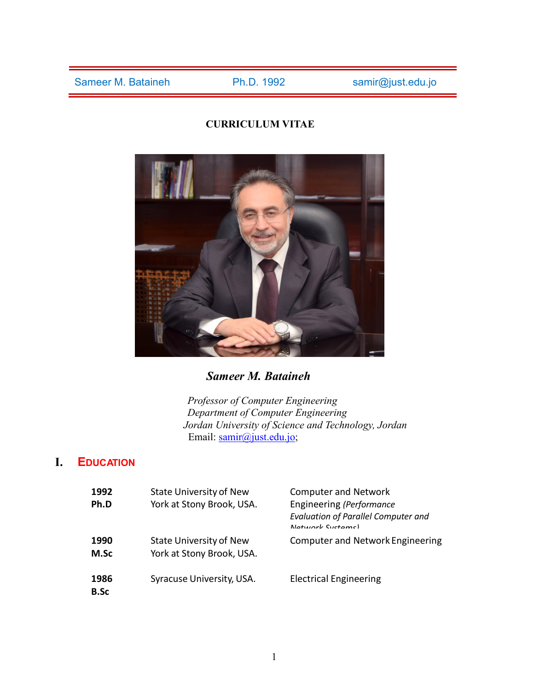# **CURRICULUM VITAE**



*Sameer M. Bataineh*

*Professor of Computer Engineering Department of Computer Engineering Jordan University of Science and Technology, Jordan* Email: samir@just.edu.jo;

# **I. EDUCATION**

| 1992<br>Ph.D        | <b>State University of New</b><br>York at Stony Brook, USA. | <b>Computer and Network</b><br>Engineering (Performance<br><b>Evaluation of Parallel Computer and</b><br>Natwork Systems) |
|---------------------|-------------------------------------------------------------|---------------------------------------------------------------------------------------------------------------------------|
| 1990<br>M.Sc        | <b>State University of New</b><br>York at Stony Brook, USA. | <b>Computer and Network Engineering</b>                                                                                   |
| 1986<br><b>B.Sc</b> | Syracuse University, USA.                                   | <b>Electrical Engineering</b>                                                                                             |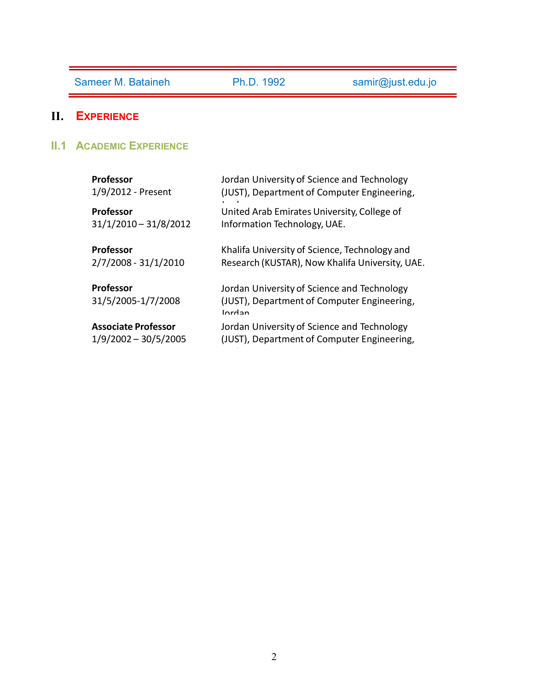# **II. EXPERIENCE**

**II.1 ACADEMIC EXPERIENCE**

| <b>Professor</b>                       | Jordan University of Science and Technology                                                          |
|----------------------------------------|------------------------------------------------------------------------------------------------------|
| 1/9/2012 - Present                     | (JUST), Department of Computer Engineering,                                                          |
| <b>Professor</b>                       | United Arab Emirates University, College of                                                          |
| $31/1/2010 - 31/8/2012$                | Information Technology, UAE.                                                                         |
| <b>Professor</b>                       | Khalifa University of Science, Technology and                                                        |
| 2/7/2008 - 31/1/2010                   | Research (KUSTAR), Now Khalifa University, UAE.                                                      |
| <b>Professor</b><br>31/5/2005-1/7/2008 | Jordan University of Science and Technology<br>(JUST), Department of Computer Engineering,<br>Iordan |
| <b>Associate Professor</b>             | Jordan University of Science and Technology                                                          |
| $1/9/2002 - 30/5/2005$                 | (JUST), Department of Computer Engineering,                                                          |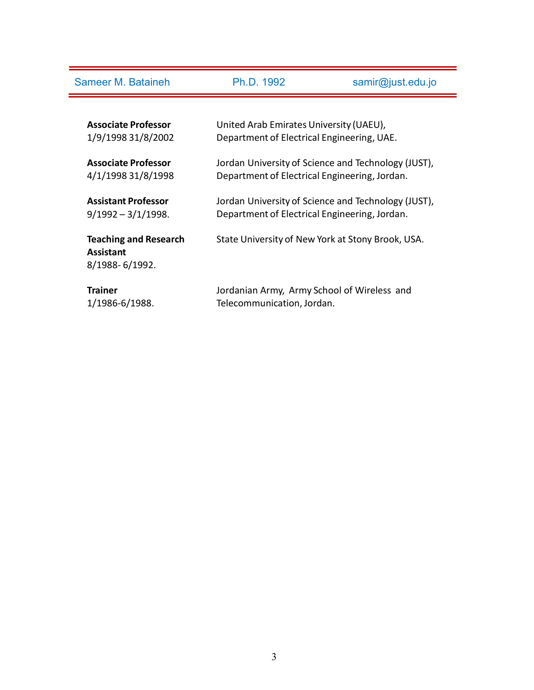| Sameer M. Bataineh           | Ph.D. 1992                                                                        | samir@just.edu.jo                                   |
|------------------------------|-----------------------------------------------------------------------------------|-----------------------------------------------------|
|                              |                                                                                   |                                                     |
| <b>Associate Professor</b>   | United Arab Emirates University (UAEU),                                           |                                                     |
| 1/9/1998 31/8/2002           | Department of Electrical Engineering, UAE.                                        |                                                     |
| <b>Associate Professor</b>   |                                                                                   | Jordan University of Science and Technology (JUST), |
| 4/1/1998 31/8/1998           | Department of Electrical Engineering, Jordan.                                     |                                                     |
|                              |                                                                                   |                                                     |
|                              | <b>Assistant Professor</b><br>Jordan University of Science and Technology (JUST), |                                                     |
| $9/1992 - 3/1/1998.$         | Department of Electrical Engineering, Jordan.                                     |                                                     |
| <b>Teaching and Research</b> |                                                                                   | State University of New York at Stony Brook, USA.   |
| <b>Assistant</b>             |                                                                                   |                                                     |
| 8/1988-6/1992.               |                                                                                   |                                                     |
| <b>Trainer</b>               |                                                                                   |                                                     |
| 1/1986-6/1988.               | Jordanian Army, Army School of Wireless and<br>Telecommunication, Jordan.         |                                                     |
|                              |                                                                                   |                                                     |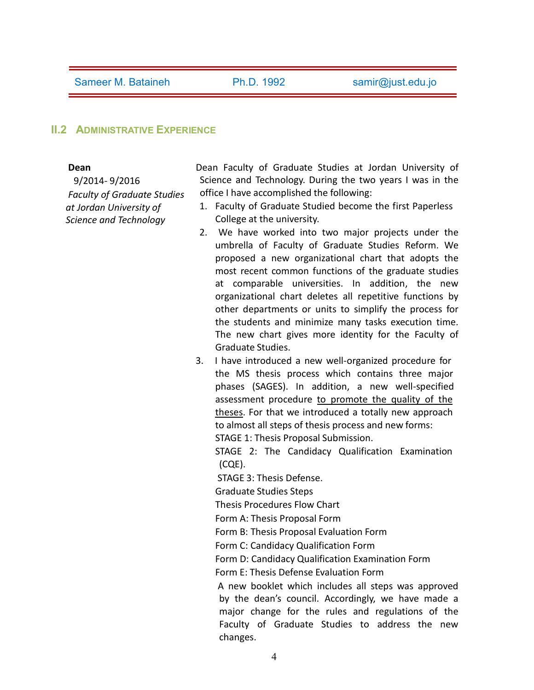#### **II.2 ADMINISTRATIVE EXPERIENCE**

#### **Dean**

9/2014- 9/2016 *Faculty of Graduate Studies at Jordan University of Science and Technology*

Dean Faculty of Graduate Studies at Jordan University of Science and Technology. During the two years I was in the office I have accomplished the following:

- 1. Faculty of Graduate Studied become the first Paperless College at the university.
- 2. We have worked into two major projects under the umbrella of Faculty of Graduate Studies Reform. We proposed a new organizational chart that adopts the most recent common functions of the graduate studies at comparable universities. In addition, the new organizational chart deletes all repetitive functions by other departments or units to simplify the process for the students and minimize many tasks execution time. The new chart gives more identity for the Faculty of Graduate Studies.
- 3. I have introduced anew well-organized procedure for the MS thesis process which contains three major phases (SAGES). In addition, a new well-specified assessment procedure to promote the quality of the theses. For that we introduced a totally new approach to almost all steps of thesis process and new forms: STAGE 1: Thesis Proposal Submission.

STAGE 2: The Candidacy Qualification Examination (CQE).

STAGE 3: Thesis Defense.

Graduate Studies Steps

Thesis Procedures Flow Chart

Form A: Thesis Proposal Form

Form B: Thesis Proposal Evaluation Form

Form C: Candidacy Qualification Form

Form D: Candidacy Qualification Examination Form

Form E: Thesis Defense Evaluation Form

A new booklet which includes all steps was approved by the dean's council. Accordingly, we have made a major change for the rules and regulations of the Faculty of Graduate Studies to address the new changes.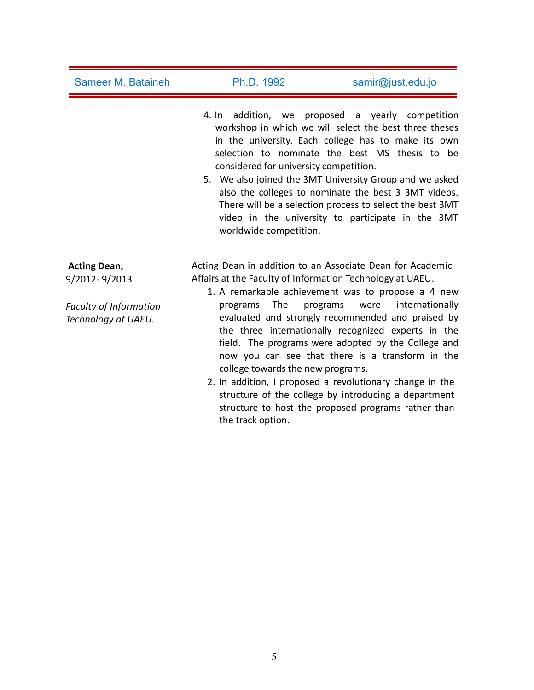| <b>Sameer M. Bataineh</b>                            | Ph.D. 1992                                                              | samir@just.edu.jo                                                                                                                                                                                                                                                                                                                                                                                                                                       |
|------------------------------------------------------|-------------------------------------------------------------------------|---------------------------------------------------------------------------------------------------------------------------------------------------------------------------------------------------------------------------------------------------------------------------------------------------------------------------------------------------------------------------------------------------------------------------------------------------------|
|                                                      | considered for university competition.<br>worldwide competition.        | 4. In addition, we proposed a yearly competition<br>workshop in which we will select the best three theses<br>in the university. Each college has to make its own<br>selection to nominate the best MS thesis to be<br>5. We also joined the 3MT University Group and we asked<br>also the colleges to nominate the best 3 3MT videos.<br>There will be a selection process to select the best 3MT<br>video in the university to participate in the 3MT |
| <b>Acting Dean,</b>                                  |                                                                         | Acting Dean in addition to an Associate Dean for Academic                                                                                                                                                                                                                                                                                                                                                                                               |
| 9/2012-9/2013                                        | Affairs at the Faculty of Information Technology at UAEU.               | 1. A remarkable achievement was to propose a 4 new                                                                                                                                                                                                                                                                                                                                                                                                      |
| <b>Faculty of Information</b><br>Technology at UAEU. | programs. The<br>college towards the new programs.<br>the track option. | were<br>internationally<br>programs<br>evaluated and strongly recommended and praised by<br>the three internationally recognized experts in the<br>field. The programs were adopted by the College and<br>now you can see that there is a transform in the<br>2. In addition, I proposed a revolutionary change in the<br>structure of the college by introducing a department<br>structure to host the proposed programs rather than                   |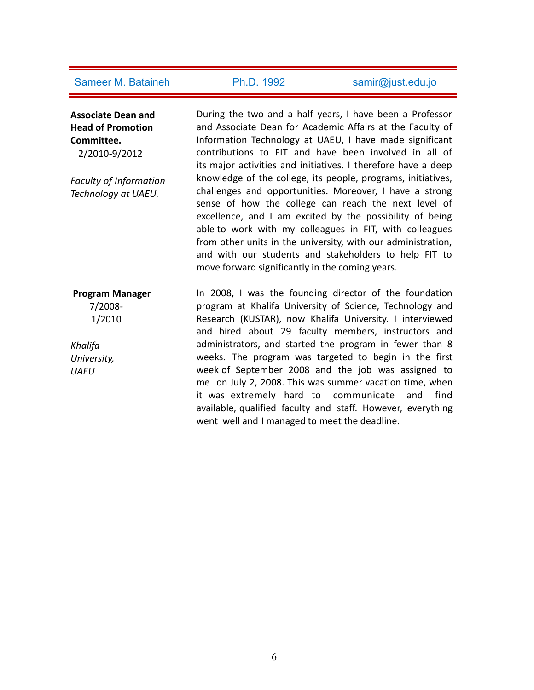**Associate Dean and Head of Promotion Committee.**

2/2010-9/2012

*Faculty of Information Technology at UAEU.*

During the two and a half years, I have been a Professor and Associate Dean for Academic Affairs at the Faculty of Information Technology at UAEU, I have made significant contributions to FIT and have been involved in all of its major activities and initiatives. I therefore have a deep knowledge of the college, its people, programs, initiatives, challenges and opportunities. Moreover, I have a strong sense of how the college can reach the next level of excellence, and I am excited by the possibility of being able to work with my colleagues in FIT, with colleagues from other units in the university, with our administration, and with our students and stakeholders to help FIT to move forward significantly in the coming years.

**Program Manager** 7/2008- 1/2010 *Khalifa University, UAEU* In 2008, I was the founding director of the foundation program at Khalifa University of Science, Technology and Research (KUSTAR), now Khalifa University. I interviewed and hired about 29 faculty members, instructors and administrators, and started the program in fewer than 8 weeks. The program was targeted to begin in the first week of September 2008 and the job was assigned to me on July 2, 2008. This was summer vacation time, when it was extremely hard to communicate and find available, qualified faculty and staff. However, everything went well and I managed to meet the deadline.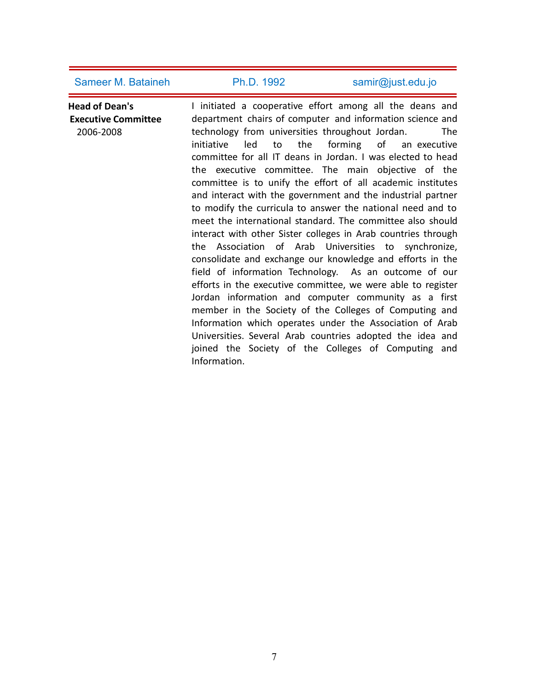**Head of Dean's Executive Committee** 2006-2008 I initiated a cooperative effort among all the deans and department chairs of computer and information science and technology from universities throughout Jordan. The initiative led to the forming of an executive committee for all IT deans in Jordan. I was elected to head the executive committee. The main objective of the committee is to unify the effort of all academic institutes and interact with the government and the industrial partner to modify the curricula to answer the national need and to meet the international standard. The committee also should interact with other Sister colleges in Arab countries through the Association of Arab Universities to synchronize, consolidate and exchange our knowledge and efforts in the field of information Technology. As an outcome of our efforts in the executive committee, we were able to register Jordan information and computer community as a first member in the Society of the Colleges of Computing and Information which operates under the Association of Arab Universities. Several Arab countries adopted the idea and joined the Society of the Colleges of Computing and Information.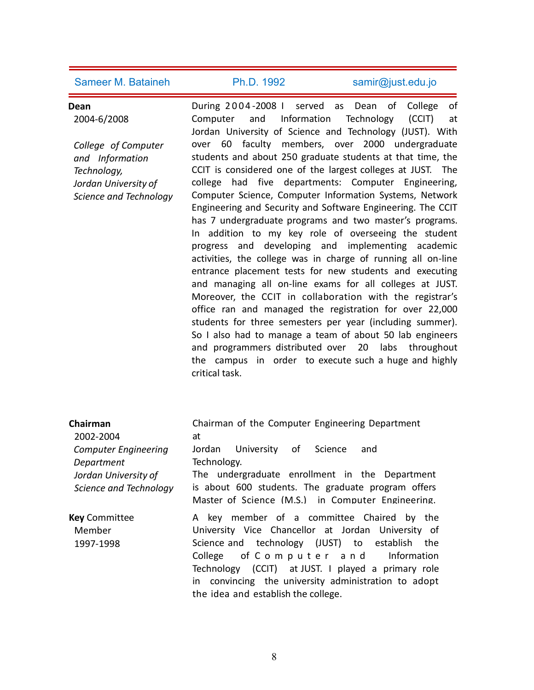# **Dean**

2004-6/2008

*College of Computer and Information Technology, Jordan University of Science and Technology* During 2 0 0 4 -2008 I served as Dean of College of and Information Technology (CCIT) at Jordan University of Science and Technology (JUST). With over 60 faculty members, over 2000 undergraduate students and about 250 graduate students at that time, the CCIT is considered one of the largest colleges at JUST. The college had five departments: Computer Engineering, Computer Science, Computer Information Systems, Network Engineering and Security and Software Engineering. The CCIT has 7 undergraduate programs and two master's programs. In addition to my key role of overseeing the student progress and developing and implementing academic activities, the college was in charge of running all on-line entrance placement tests for new students and executing and managing all on-line exams for all colleges at JUST. Moreover, the CCIT in collaboration with the registrar's office ran and managed the registration for over 22,000 students for three semesters per year (including summer). So I also had to manage a team of about 50 lab engineers and programmers distributed over 20 labs throughout the campus in order to execute such a huge and highly critical task.

| Chairman                                                                                    | Chairman of the Computer Engineering Department                                                                                                                                                                                                                                                                                                |  |
|---------------------------------------------------------------------------------------------|------------------------------------------------------------------------------------------------------------------------------------------------------------------------------------------------------------------------------------------------------------------------------------------------------------------------------------------------|--|
| 2002-2004                                                                                   | at                                                                                                                                                                                                                                                                                                                                             |  |
| <b>Computer Engineering</b><br>Department<br>Jordan University of<br>Science and Technology | Jordan University of Science<br>and<br>Technology.<br>The undergraduate enrollment in the Department<br>is about 600 students. The graduate program offers<br>Master of Science (M.S.) in Computer Engineering.                                                                                                                                |  |
| <b>Key Committee</b><br>Member<br>1997-1998                                                 | A key member of a committee Chaired by the<br>University Vice Chancellor at Jordan University of<br>Science and technology (JUST) to establish the<br>College of Computer and Information<br>Technology (CCIT) at JUST. I played a primary role<br>in convincing the university administration to adopt<br>the idea and establish the college. |  |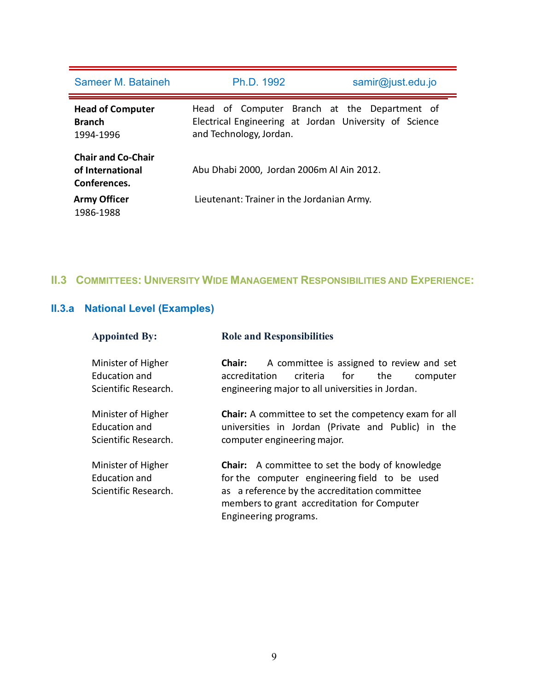| Sameer M. Bataineh                                            | Ph.D. 1992                                                                                                                        | samir@just.edu.jo |
|---------------------------------------------------------------|-----------------------------------------------------------------------------------------------------------------------------------|-------------------|
| <b>Head of Computer</b><br><b>Branch</b><br>1994-1996         | Head of Computer Branch at the Department of<br>Electrical Engineering at Jordan University of Science<br>and Technology, Jordan. |                   |
| <b>Chair and Co-Chair</b><br>of International<br>Conferences. | Abu Dhabi 2000, Jordan 2006m Al Ain 2012.                                                                                         |                   |
| <b>Army Officer</b><br>1986-1988                              | Lieutenant: Trainer in the Jordanian Army.                                                                                        |                   |

# **II.3 COMMITTEES: UNIVERSITY WIDE MANAGEMENT RESPONSIBILITIES AND EXPERIENCE:**

# **II.3.a National Level (Examples)**

| <b>Appointed By:</b>                                               | <b>Role and Responsibilities</b>                                                                                                                                                                                                 |  |
|--------------------------------------------------------------------|----------------------------------------------------------------------------------------------------------------------------------------------------------------------------------------------------------------------------------|--|
| Minister of Higher<br><b>Education and</b><br>Scientific Research. | A committee is assigned to review and set<br><b>Chair:</b><br>accreditation<br>criteria<br>for<br>the<br>computer<br>engineering major to all universities in Jordan.                                                            |  |
| Minister of Higher<br><b>Education and</b><br>Scientific Research. | <b>Chair:</b> A committee to set the competency exam for all<br>universities in Jordan (Private and Public) in the<br>computer engineering major.                                                                                |  |
| Minister of Higher<br><b>Education and</b><br>Scientific Research. | <b>Chair:</b> A committee to set the body of knowledge<br>for the computer engineering field to be used<br>as a reference by the accreditation committee<br>members to grant accreditation for Computer<br>Engineering programs. |  |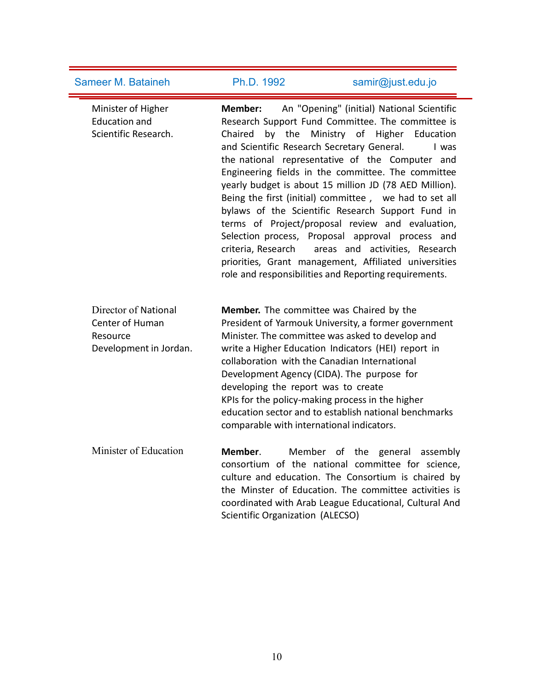Sameer M. Bataineh Ph.D. 1992 [samir@just.edu.jo](mailto:samir@just.edu.jo) Minister of Higher **Member:** Education and Scientific Research. **Member:** An "Opening" (initial) National Scientific Chaired by the Ministry of Higher Education Research Support Fund Committee. The committee is and Scientific Research Secretary General. I was the national representative of the Computer and Engineering fields in the committee. The committee yearly budget is about 15 million JD (78 AED Million). Being the first (initial) committee , we had to set all bylaws of the Scientific Research Support Fund in terms of Project/proposal review and evaluation,<br>Selection process, Proposal approval process and criteria, Research areas and activities, Research priorities, Grant management, Affiliated universities role and responsibilities and Reporting requirements. Director of National **Member.** The committee was Chaired by the Center of Human Resource Director of National **Member.** The committee was Chaired by the<br>Center of Human President of Yarmouk University, a former government<br>Resource Minister. The committee was asked to develop and<br>Development in Jordan. write a President of Yarmouk University, a former government Minister. The committee was asked to develop and write a Higher Education Indicators (HEI) report in collaboration with the Canadian International Development Agency (CIDA). The purpose for developing the report was to create KPIs for the policy-making process in the higher education sector and to establish national benchmarks comparable with international indicators. Minister of Education **Member**. Member of the general assembly consortium of the national committee for science, culture and education. The Consortium is chaired by the Minster of Education. The committee activities is

Scientific Organization (ALECSO)

coordinated with Arab League Educational, Cultural And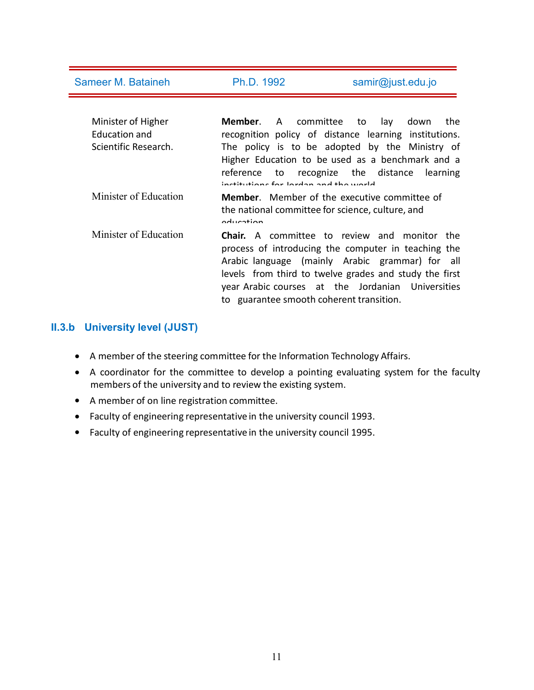| Sameer M. Bataineh                                          | Ph.D. 1992                                       | samir@just.edu.jo                                                                                                                                                                                                                                      |
|-------------------------------------------------------------|--------------------------------------------------|--------------------------------------------------------------------------------------------------------------------------------------------------------------------------------------------------------------------------------------------------------|
| Minister of Higher<br>Education and<br>Scientific Research. | Member.<br>inctitutions for lordan and tho world | A committee to<br>lay<br>down<br>the<br>recognition policy of distance learning institutions.<br>The policy is to be adopted by the Ministry of<br>Higher Education to be used as a benchmark and a<br>reference to recognize the distance<br>learning |
| Minister of Education                                       | oducation                                        | <b>Member.</b> Member of the executive committee of<br>the national committee for science, culture, and                                                                                                                                                |
| Minister of Education                                       |                                                  | <b>Chair.</b> A committee to review and monitor the<br>process of introducing the computer in teaching the<br>Arabic language (mainly Arabic grammar) for all<br>levels from third to twelve grades and study the first                                |

# **II.3.b University level (JUST)**

- A member of the steering committee for the Information Technology Affairs.
- A coordinator for the committee to develop a pointing evaluating system for the faculty members of the university and to review the existing system.

year Arabic courses at the Jordanian Universities

to guarantee smooth coherent transition.

- A member of on line registration committee.
- Faculty of engineering representative in the university council 1993.
- Faculty of engineering representative in the university council 1995.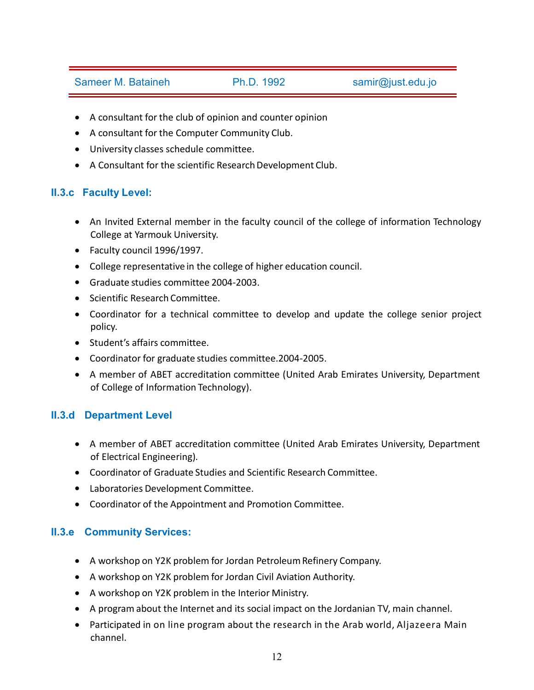- A consultant for the club of opinion and counter opinion
- A consultant for the Computer Community Club.
- University classes schedule committee.
- A Consultant for the scientific Research Development Club.

# **II.3.c Faculty Level:**

- An Invited External member in the faculty council of the college of information Technology College at Yarmouk University.
- Faculty council 1996/1997.
- College representative in the college of higher education council.
- Graduate studies committee 2004-2003.
- Scientific Research Committee.
- Coordinator for a technical committee to develop and update the college senior project policy.
- Student's affairs committee.
- Coordinator for graduate studies committee.2004-2005.
- A member of ABET accreditation committee (United Arab Emirates University, Department of College of Information Technology).

# **II.3.d Department Level**

- A member of ABET accreditation committee (United Arab Emirates University, Department of Electrical Engineering).
- Coordinator of Graduate Studies and Scientific Research Committee.
- Laboratories Development Committee.
- Coordinator of the Appointment and Promotion Committee.

# **II.3.e Community Services:**

- A workshop on Y2K problem for Jordan Petroleum Refinery Company.
- A workshop on Y2K problem for Jordan Civil Aviation Authority.
- A workshop on Y2K problem in the Interior Ministry.
- A program about the Internet and its social impact on the Jordanian TV, main channel.
- Participated in on line program about the research in the Arab world, Aljazeera Main channel.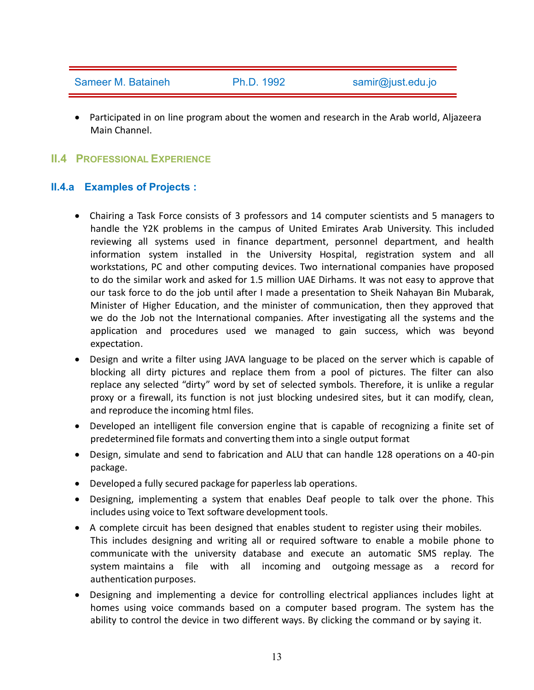Participated in on line program about the women and research in the Arab world, Aljazeera Main Channel.

## **II.4 PROFESSIONAL EXPERIENCE**

## **II.4.a Examples of Projects :**

- Chairing a Task Force consists of 3 professors and 14 computer scientists and 5 managers to handle the Y2K problems in the campus of United Emirates Arab University. This included reviewing all systems used in finance department, personnel department, and health information system installed in the University Hospital, registration system and all workstations, PC and other computing devices. Two international companies have proposed to do the similar work and asked for 1.5 million UAE Dirhams. It was not easy to approve that our task force to do the job until after I made a presentation to Sheik Nahayan Bin Mubarak, Minister of Higher Education, and the minister of communication, then they approved that we do the Job not the International companies. After investigating all the systems and the application and procedures used we managed to gain success, which was beyond expectation.
- Design and write a filter using JAVA language to be placed on the server which is capable of blocking all dirty pictures and replace them from a pool of pictures. The filter can also replace any selected "dirty" word by set of selected symbols. Therefore, it is unlike a regular proxy or a firewall, its function is not just blocking undesired sites, but it can modify, clean, and reproduce the incoming html files.
- Developed an intelligent file conversion engine that is capable of recognizing a finite set of predetermined file formats and converting them into a single output format
- Design, simulate and send to fabrication and ALU that can handle 128 operations on a 40-pin package.
- Developed a fully secured package for paperless lab operations.
- Designing, implementing a system that enables Deaf people to talk over the phone. This includes using voice to Text software development tools.
- A complete circuit has been designed that enables student to register using their mobiles. This includes designing and writing all or required software to enable a mobile phone to communicate with the university database and execute an automatic SMS replay. The system maintains a file with all incoming and outgoing message as a record for authentication purposes.
- Designing and implementing a device for controlling electrical appliances includes light at homes using voice commands based on a computer based program. The system has the ability to control the device in two different ways. By clicking the command or by saying it.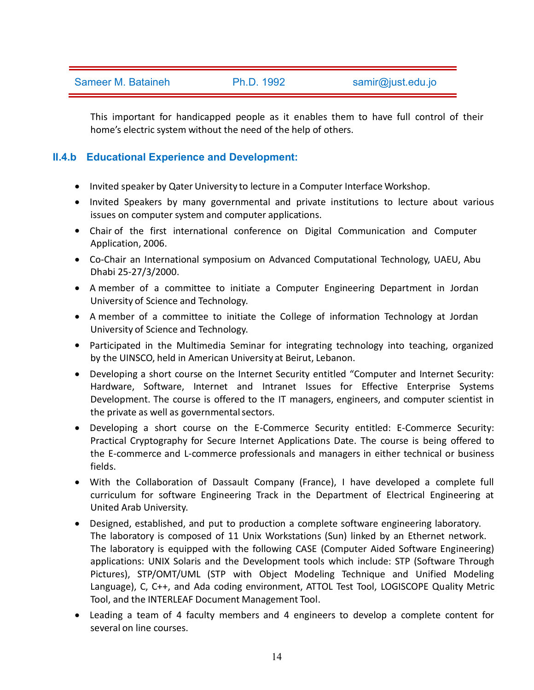This important for handicapped people as it enables them to have full control of their home's electric system without the need of the help of others.

# **II.4.b Educational Experience and Development:**

- Invited speaker by Qater University to lecture in a Computer Interface Workshop.
- Invited Speakers by many governmental and private institutions to lecture about various issues on computer system and computer applications.
- Chair of the first international conference on Digital Communication and Computer Application, 2006.
- Co-Chair an International symposium on Advanced Computational Technology, UAEU, Abu Dhabi 25-27/3/2000.
- A member of a committee to initiate a Computer Engineering Department in Jordan University of Science and Technology.
- A member of a committee to initiate the College of information Technology at Jordan University of Science and Technology.
- Participated in the Multimedia Seminar for integrating technology into teaching, organized by the UINSCO, held in American University at Beirut, Lebanon.
- Developing a short course on the Internet Security entitled "Computer and Internet Security: Hardware, Software, Internet and Intranet Issues for Effective Enterprise Systems Development. The course is offered to the IT managers, engineers, and computer scientist in the private as well as governmental sectors.
- Developing a short course on the E-Commerce Security entitled: E-Commerce Security: Practical Cryptography for Secure Internet Applications Date. The course is being offered to the E-commerce and L-commerce professionals and managers in either technical or business fields.
- With the Collaboration of Dassault Company (France), I have developed a complete full curriculum for software Engineering Track in the Department of Electrical Engineering at United Arab University.
- Designed, established, and put to production a complete software engineering laboratory. The laboratory is composed of 11 Unix Workstations (Sun) linked by an Ethernet network. The laboratory is equipped with the following CASE (Computer Aided Software Engineering) applications: UNIX Solaris and the Development tools which include: STP (Software Through Pictures), STP/OMT/UML (STP with Object Modeling Technique and Unified Modeling Language), C, C++, and Ada coding environment, ATTOL Test Tool, LOGISCOPE Quality Metric Tool, and the INTERLEAF Document Management Tool.
- Leading a team of 4 faculty members and 4 engineers to develop a complete content for several on line courses.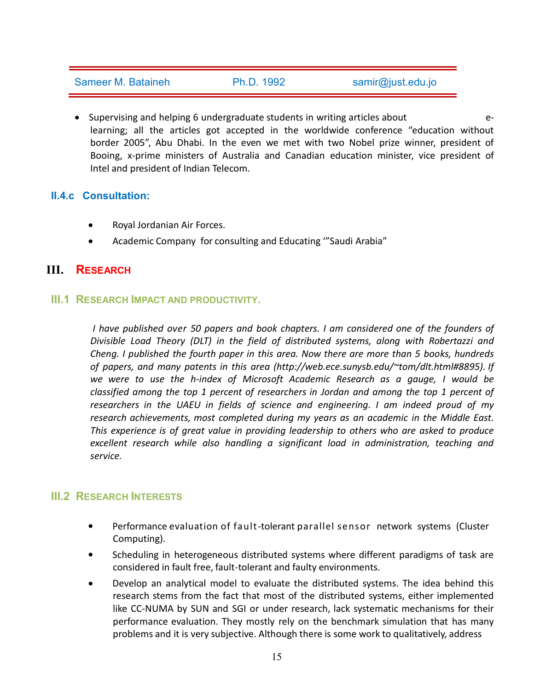• Supervising and helping 6 undergraduate students in writing articles about elearning; all the articles got accepted in the worldwide conference "education without border 2005", Abu Dhabi. In the even we met with two Nobel prize winner, president of Booing, x-prime ministers of Australia and Canadian education minister, vice president of Intel and president of Indian Telecom.

# **II.4.c Consultation:**

- Royal Jordanian Air Forces.
- Academic Company for consulting and Educating '"Saudi Arabia"

# **III. RESEARCH**

# **III.1 RESEARCH IMPACT AND PRODUCTIVITY.**

*I have published over 50 papers and book chapters. I am considered one of the founders of Divisible Load Theory (DLT) in the field of distributed systems, along with Robertazzi and Cheng. I published the fourth paper in this area. Now there are more than 5 books, hundreds of papers, and many patents in this area [\(http://web.ece.sunysb.edu/~tom/dlt.html#8895\).](http://web.ece.sunysb.edu/%7Etom/dlt.html#8895)) If we were to use the h-index of Microsoft Academic Research as a gauge, I would be classified among the top 1 percent of researchers in Jordan and among the top 1 percent of researchers in the UAEU in fields ofscience and engineering. I am indeed proud of my research achievements, most completed during my years as an academic in the Middle East. This experience is of great value in providing leadership to others who are asked to produce excellent research while also handling a significant load in administration, teaching and service.*

# **III.2 RESEARCH INTERESTS**

- Performance evaluation of fault-tolerant parallel sensor network systems (Cluster Computing).
- Scheduling in heterogeneous distributed systems where different paradigms of task are considered in fault free, fault-tolerant and faulty environments.
- Develop an analytical model to evaluate the distributed systems. The idea behind this research stems from the fact that most of the distributed systems, either implemented like CC-NUMA by SUN and SGI or under research, lack systematic mechanisms for their performance evaluation. They mostly rely on the benchmark simulation that has many problems and it is very subjective. Although there is some work to qualitatively, address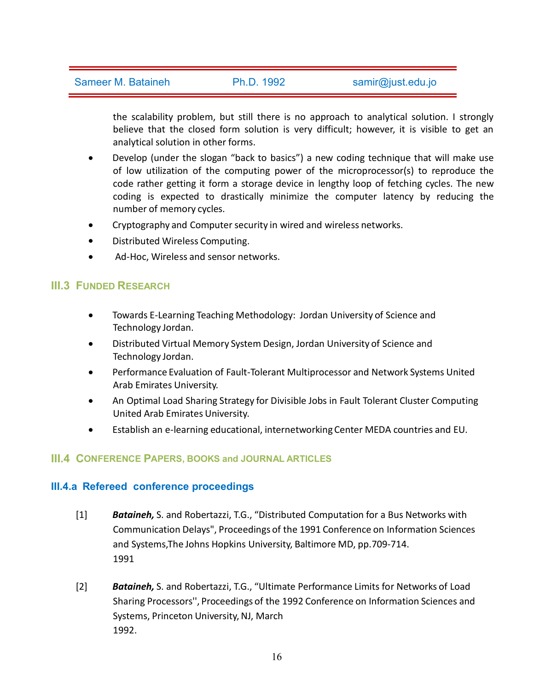the scalability problem, but still there is no approach to analytical solution. I strongly believe that the closed form solution is very difficult; however, it is visible to get an analytical solution in other forms.

- Develop (under the slogan "back to basics") a new coding technique that will make use of low utilization of the computing power of the microprocessor(s) to reproduce the code rather getting it form a storage device in lengthy loop of fetching cycles. The new coding is expected to drastically minimize the computer latency by reducing the number of memory cycles.
- Cryptography and Computer security in wired and wireless networks.
- Distributed Wireless Computing.
- Ad-Hoc, Wireless and sensor networks.

# **III.3 FUNDED RESEARCH**

- Towards E-Learning Teaching Methodology: Jordan University of Science and Technology Jordan.
- Distributed Virtual Memory System Design, Jordan University of Science and Technology Jordan.
- Performance Evaluation of Fault-Tolerant Multiprocessor and Network Systems United Arab Emirates University.
- An Optimal Load Sharing Strategy for Divisible Jobs in Fault Tolerant Cluster Computing United Arab Emirates University.
- Establish an e-learning educational, internetworking Center MEDA countries and EU.

# **III.4 CONFERENCE PAPERS, BOOKS and JOURNAL ARTICLES**

## **III.4.a Refereed conference proceedings**

- [1] *Bataineh,* S. and Robertazzi, T.G., "Distributed Computation for a Bus Networks with Communication Delays", Proceedings of the 1991 Conference on Information Sciences and Systems,The Johns Hopkins University, Baltimore MD, pp.709-714. 1991
- [2] *Bataineh,* S. and Robertazzi, T.G., "Ultimate Performance Limits for Networks of Load Sharing Processors'', Proceedings of the 1992 Conference on Information Sciences and Systems, Princeton University, NJ, March 1992.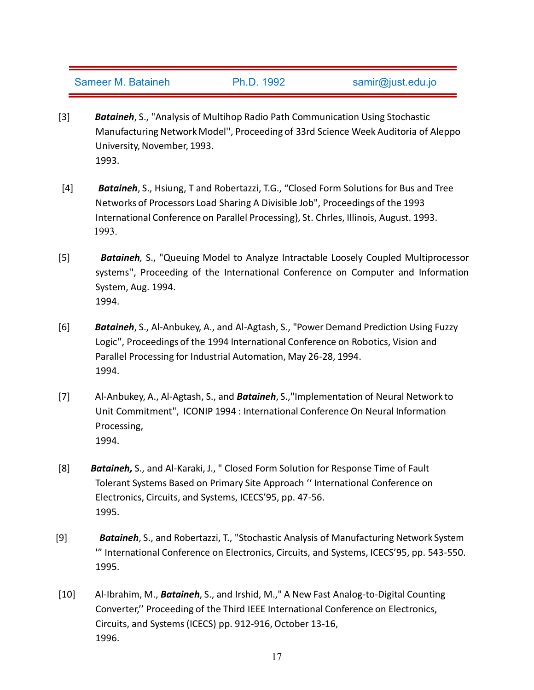- [3] *Bataineh*, S., "Analysis of Multihop Radio Path Communication Using Stochastic Manufacturing Network Model'', Proceeding of 33rd Science Week Auditoria of Aleppo University, November, 1993. 1993.
- [4] *Bataineh*, S., Hsiung, T and Robertazzi, T.G., "Closed Form Solutions for Bus and Tree Networks of Processors Load Sharing A Divisible Job", Proceedings of the 1993 International Conference on Parallel Processing}, St. Chrles, Illinois, August. 1993. 1993.
- [5] *Bataineh,* S., "Queuing Model to Analyze Intractable Loosely Coupled Multiprocessor systems'', Proceeding of the International Conference on Computer and Information System, Aug. 1994. 1994.
- [6] *Bataineh*, S., Al-Anbukey, A., and Al-Agtash, S., "Power Demand Prediction Using Fuzzy Logic'', Proceedings of the 1994 International Conference on Robotics, Vision and Parallel Processing for Industrial Automation, May 26-28, 1994. 1994.
- [7] Al-Anbukey, A., Al-Agtash, S., and *Bataineh*, S.,"Implementation of Neural Network to Unit Commitment", ICONIP 1994 : International Conference On Neural Information Processing, 1994.
- [8] *Bataineh,* S., and Al-Karaki, J., " Closed Form Solution for Response Time of Fault Tolerant Systems Based on Primary Site Approach '' International Conference on Electronics, Circuits, and Systems, ICECS'95, pp. 47-56. 1995.
- [9] *Bataineh*, S., and Robertazzi, T., "Stochastic Analysis of Manufacturing Network System '" International Conference on Electronics, Circuits, and Systems, ICECS'95, pp. 543-550. 1995.
- [10] Al-Ibrahim, M., *Bataineh*, S., and Irshid, M.," A New Fast Analog-to-Digital Counting Converter,'' Proceeding of the Third IEEE International Conference on Electronics, Circuits, and Systems (ICECS) pp. 912-916, October 13-16, 1996.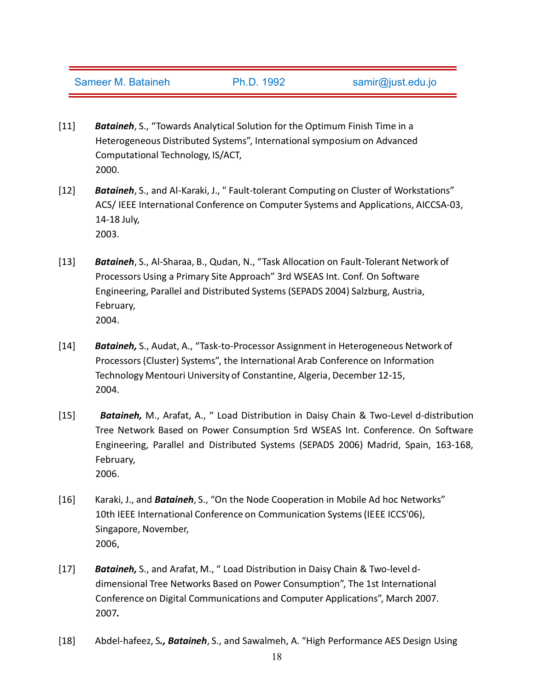- [11] *Bataineh*, S., "Towards Analytical Solution for the Optimum Finish Time in a Heterogeneous Distributed Systems", International symposium on Advanced Computational Technology, IS/ACT, 2000.
- [12] *Bataineh*, S., and Al-Karaki, J., " Fault-tolerant Computing on Cluster of Workstations" ACS/ IEEE International Conference on Computer Systems and Applications, AICCSA-03, 14-18 July, 2003.
- [13] *Bataineh*, S., Al-Sharaa, B., Qudan, N., "Task Allocation on Fault-Tolerant Network of Processors Using a Primary Site Approach" 3rd WSEAS Int. Conf. On Software Engineering, Parallel and Distributed Systems(SEPADS 2004) Salzburg, Austria, February, 2004.
- [14] *Bataineh,* S., Audat, A., "Task-to-Processor Assignment in Heterogeneous Network of Processors (Cluster) Systems", the International Arab Conference on Information Technology Mentouri University of Constantine, Algeria, December 12-15, 2004.
- [15] *Bataineh,* M., Arafat, A., " Load Distribution in Daisy Chain & Two-Level d-distribution Tree Network Based on Power Consumption 5rd WSEAS Int. Conference. On Software Engineering, Parallel and Distributed Systems (SEPADS 2006) Madrid, Spain, 163-168, February, 2006.
- [16] Karaki, J., and *Bataineh*, S., "On the Node Cooperation in Mobile Ad hoc Networks" 10th IEEE International Conference on Communication Systems(IEEE ICCS'06), Singapore, November, 2006,
- [17] *Bataineh,* S., and Arafat, M., " Load Distribution in Daisy Chain & Two-level d dimensional Tree Networks Based on Power Consumption", The 1st International Conference on Digital Communications and Computer Applications", March 2007. 2007*.*
- [18] Abdel-hafeez, S*., Bataineh*, S., and Sawalmeh, A. "High Performance AES Design Using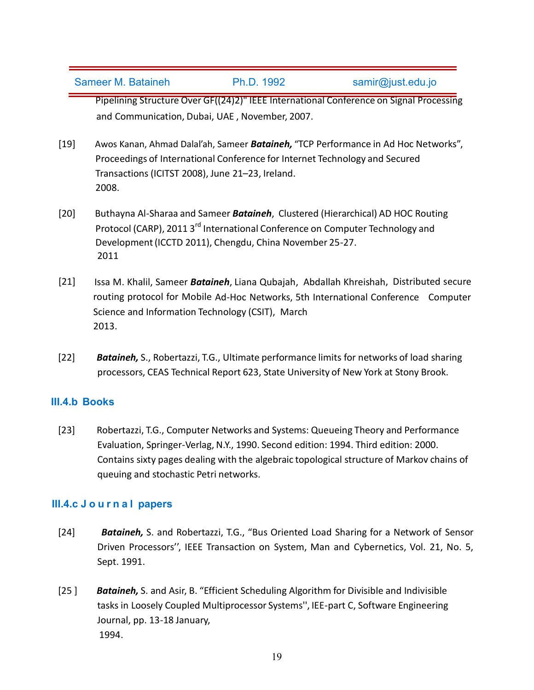Pipelining Structure Over GF((24)2)" IEEE International Conference on Signal Processing and Communication, Dubai, UAE , November, 2007.

- [19] Awos Kanan, Ahmad Dalal'ah, Sameer *Bataineh,* "TCP Performance in Ad Hoc Networks", Proceedings of International Conference for Internet Technology and Secured Transactions (ICITST 2008), June 21–23, Ireland. 2008.
- [20] Buthayna Al-Sharaa and Sameer*Bataineh*, Clustered (Hierarchical) AD HOC Routing Protocol (CARP), 2011 3<sup>rd</sup> International Conference on Computer Technology and Development(ICCTD 2011), Chengdu, China November 25-27. 2011
- [21] Issa M. Khalil, Sameer *Bataineh*, Liana Qubajah, Abdallah Khreishah, Distributed secure routing protocol for Mobile Ad-Hoc Networks, 5th International Conference Computer Science and Information Technology (CSIT), March 2013.
- [22] *Bataineh,* S., Robertazzi, T.G., Ultimate performance limits for networks of load sharing processors, CEAS Technical Report 623, State University of New York at Stony Brook.

# **III.4.b Books**

[23] Robertazzi, T.G., Computer Networks and Systems: Queueing Theory and Performance Evaluation, Springer-Verlag,N.Y., 1990. Second edition: 1994. Third edition: 2000. Contains sixty pages dealing with the algebraic topological structure of Markov chains of queuing and stochastic Petri networks.

## **III.4.c J o u rn a lpapers**

- [24] *Bataineh,* S. and Robertazzi, T.G., "Bus Oriented Load Sharing for a Network of Sensor Driven Processors'', IEEE Transaction on System, Man and Cybernetics, Vol. 21, No. 5, Sept. 1991.
- [25 ] *Bataineh,* S. and Asir, B. "Efficient Scheduling Algorithm for Divisible and Indivisible tasks in Loosely Coupled Multiprocessor Systems'', IEE-part C, Software Engineering Journal, pp. 13-18 January, 1994.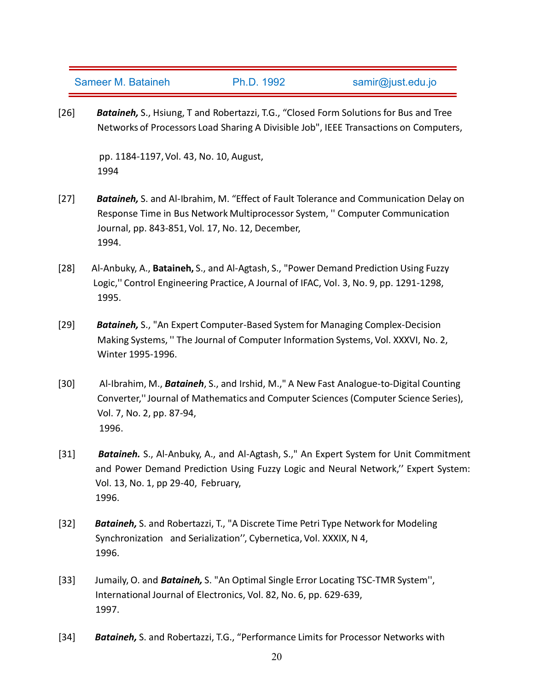[26] *Bataineh,* S., Hsiung, T and Robertazzi, T.G., "Closed Form Solutions for Bus and Tree Networks of Processors Load Sharing A Divisible Job", IEEE Transactions on Computers,

pp. 1184-1197,Vol. 43, No. 10, August, 1994

- [27] *Bataineh,* S. and Al-Ibrahim, M. "Effect of Fault Tolerance and Communication Delay on Response Time in Bus Network Multiprocessor System, '' Computer Communication Journal, pp. 843-851, Vol. 17, No. 12, December, 1994.
- [28] Al-Anbuky, A., **Bataineh,** S., and Al-Agtash, S., "Power Demand Prediction Using Fuzzy Logic,'' Control Engineering Practice, A Journal of IFAC, Vol. 3, No. 9, pp. 1291-1298, 1995.
- [29] *Bataineh,* S., "An Expert Computer-Based System for Managing Complex-Decision Making Systems, '' The Journal of Computer Information Systems, Vol. XXXVI, No. 2, Winter 1995-1996.
- [30] Al-Ibrahim, M., *Bataineh*, S., and Irshid, M.," A New Fast Analogue-to-Digital Counting Converter,''Journal of Mathematics and Computer Sciences (Computer Science Series), Vol. 7, No. 2, pp. 87-94, 1996.
- [31] *Bataineh.* S., Al-Anbuky, A., and Al-Agtash, S.," An Expert System for Unit Commitment and Power Demand Prediction Using Fuzzy Logic and Neural Network,'' Expert System: Vol. 13, No. 1, pp 29-40, February, 1996.
- [32] *Bataineh,* S. and Robertazzi, T., "A Discrete Time Petri Type Network for Modeling Synchronization and Serialization'', Cybernetica, Vol. XXXIX, N 4, 1996.
- [33] Jumaily, O. and *Bataineh,* S. "An Optimal Single Error Locating TSC-TMR System'', International Journal of Electronics, Vol. 82, No. 6, pp. 629-639, 1997.
- [34] *Bataineh,* S. and Robertazzi, T.G., "Performance Limits for Processor Networks with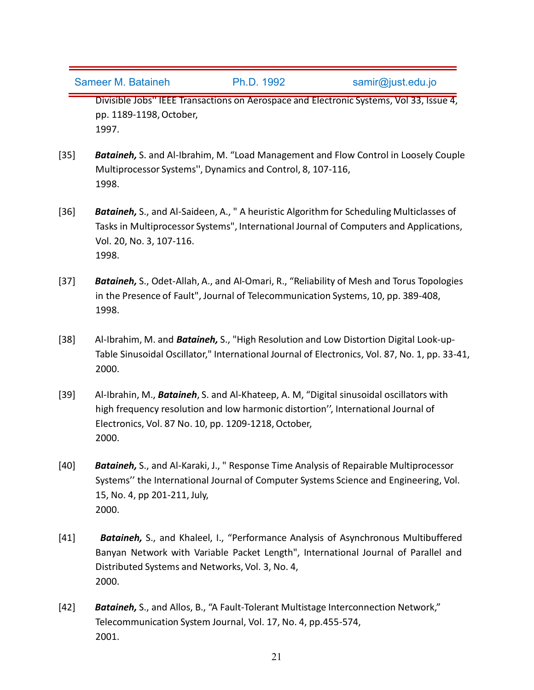Divisible Jobs'' IEEE Transactions on Aerospace and Electronic Systems, Vol 33, Issue 4, pp. 1189-1198,October, 1997.

- [35] *Bataineh,* S. and Al-Ibrahim, M. "Load Management and Flow Control in Loosely Couple Multiprocessor Systems'', Dynamics and Control, 8, 107-116, 1998.
- [36] *Bataineh,* S., and Al-Saideen, A., " A heuristic Algorithm for Scheduling Multiclasses of Tasks in Multiprocessor Systems", International Journal of Computers and Applications, Vol. 20, No. 3, 107-116. 1998.
- [37] *Bataineh,* S., Odet-Allah, A., and Al-Omari, R., "Reliability of Mesh and Torus Topologies in the Presence of Fault", Journal of Telecommunication Systems, 10, pp. 389-408, 1998.
- [38] Al-Ibrahim, M. and *Bataineh,* S., "High Resolution and Low Distortion Digital Look-up- Table Sinusoidal Oscillator," International Journal of Electronics, Vol. 87, No. 1, pp. 33-41, 2000.
- [39] Al-Ibrahin, M., *Bataineh*, S. and Al-Khateep, A. M, "Digital sinusoidal oscillators with high frequency resolution and low harmonic distortion'', International Journal of Electronics, Vol. 87 No. 10, pp. 1209-1218,October, 2000.
- [40] *Bataineh,* S., and Al-Karaki, J., " Response Time Analysis of Repairable Multiprocessor Systems'' the International Journal of Computer Systems Science and Engineering, Vol. 15, No. 4, pp 201-211, July, 2000.
- [41] *Bataineh,* S., and Khaleel, I., "Performance Analysis of Asynchronous Multibuffered Banyan Network with Variable Packet Length", International Journal of Parallel and Distributed Systems and Networks, Vol. 3, No. 4, 2000.
- [42] *Bataineh,* S., and Allos, B., "A Fault-Tolerant Multistage Interconnection Network," Telecommunication System Journal, Vol. 17, No. 4, pp.455-574, 2001.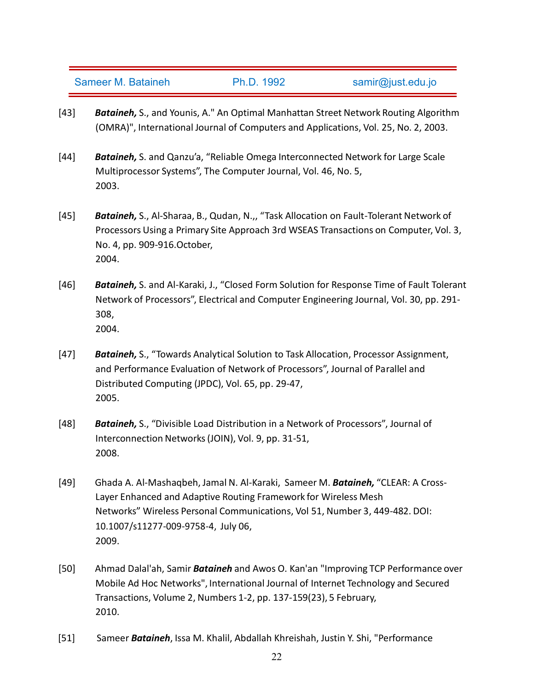- [43] *Bataineh,* S., and Younis, A." An Optimal Manhattan Street Network Routing Algorithm (OMRA)", International Journal of Computers and Applications, Vol. 25, No. 2, 2003.
- [44] *Bataineh,* S. and Qanzu'a, "Reliable Omega Interconnected Network for Large Scale Multiprocessor Systems", The Computer Journal, Vol. 46, No. 5, 2003.
- [45] *Bataineh,* S., Al-Sharaa, B., Qudan, N.,, "Task Allocation on Fault-Tolerant Network of Processors Using a Primary Site Approach 3rd WSEAS [Transactions](http://www.worldses.org/conferences/2004/austria/sepads/index.html) on Computer, Vol. 3, No. 4, pp. 909-916.October, 2004.
- [46] *Bataineh,* S. and Al-Karaki, J., "Closed Form Solution for Response Time of Fault Tolerant Network of Processors", Electrical and Computer Engineering Journal, Vol. 30, pp. 291- 308, 2004.
- [47] *Bataineh,* S., "Towards Analytical Solution to Task Allocation, Processor Assignment, and Performance Evaluation of Network of Processors", Journal of Parallel and Distributed Computing (JPDC), Vol. 65, pp. 29-47, 2005.
- [48] *Bataineh,* S., "Divisible Load Distribution in a Network of Processors", Journal of Interconnection Networks(JOIN), Vol. 9, pp. 31-51, 2008.
- [49] Ghada A. Al-Mashaqbeh, Jamal N. Al-Karaki, Sameer M. *Bataineh,* "CLEAR: A Cross- Layer Enhanced and Adaptive Routing Framework for Wireless Mesh Networks" Wireless Personal Communications, Vol 51, Number 3, 449-482. DOI: 10.1007/s11277-009-9758-4, July 06, 2009.
- [50] Ahmad Dalal'ah, Samir *Bataineh* and Awos O.Kan'an "Improving TCP Performance over Mobile Ad Hoc Networks", International Journal of Internet Technology and Secured Transactions, Volume 2, Numbers 1-2, pp. 137-159(23), 5 February, 2010.
- [51] Sameer *Bataineh*, Issa M. Khalil, Abdallah Khreishah, Justin Y. Shi, "Performance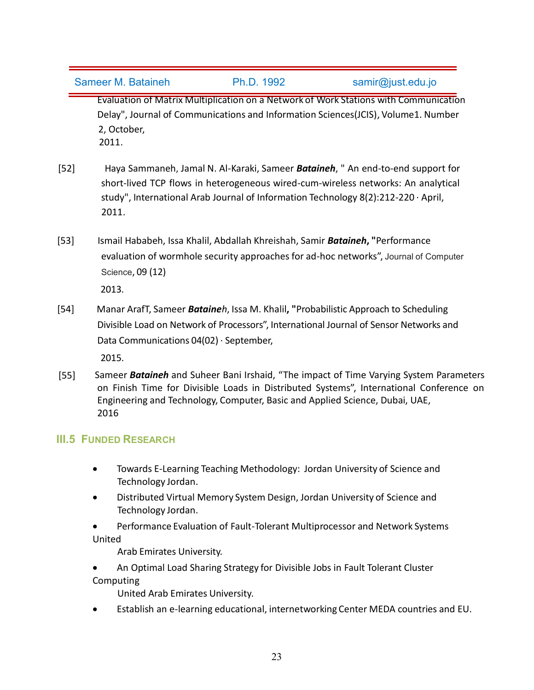Evaluation of Matrix Multiplication on a Network of Work Stations with Communication Delay", Journal of Communications and Information Sciences(JCIS), Volume1. Number 2, October, 2011.

- [52] Haya [Sammaneh](https://www.researchgate.net/profile/Haya_Sammaneh), Jamal N. Al-Karaki, Sameer *Bataineh*, " An end-to-end support for short-lived TCP flows in heterogeneous wired-cum-wireless networks: An analytical study", [International](https://www.researchgate.net/journal/1683-3198_International_Arab_Journal_of_Information_Technology) Arab Journal of Information Technology 8(2):212-220 · April, 2011.
- [53] Ismail Hababeh, Issa Khalil, Abdallah Khreishah, Samir *Bataineh***, "**[Performance](http://search.proquest.com/openview/15678a5f8163a6f79d766e7a1273060f/1?pq-origsite=gscholar) evaluation of wormhole security [approaches](http://search.proquest.com/openview/15678a5f8163a6f79d766e7a1273060f/1?pq-origsite=gscholar) for ad-hoc networks", Journal of Computer Science, 09 (12)

2013.

[54] Manar ArafT, Sameer *Bataineh*, Issa M. Khalil**, "**Probabilistic Approach to Scheduling Divisible Load on Network of Processors", [International](https://www.researchgate.net/journal/2090-4886_International_Journal_of_Sensor_Networks_and_Data_Communications) Journal of Sensor Networks and Data Communications 04(02) · September,

2015.

[55] Sameer *Bataineh* and Suheer Bani Irshaid, "The impactof Time Varying System Parameters on Finish Time for Divisible Loads in Distributed Systems", International Conference on Engineering and Technology, Computer, Basic and Applied Science, Dubai, UAE, 2016

# **III.5 FUNDED RESEARCH**

- Towards E-Learning Teaching Methodology: Jordan University of Science and Technology Jordan.
- Distributed Virtual Memory System Design, Jordan University of Science and Technology Jordan.
- Performance Evaluation of Fault-Tolerant Multiprocessor and Network Systems United

Arab Emirates University.

 An Optimal Load Sharing Strategy for Divisible Jobs in Fault Tolerant Cluster Computing

United Arab Emirates University.

Establish an e-learning educational, internetworking Center MEDA countries and EU.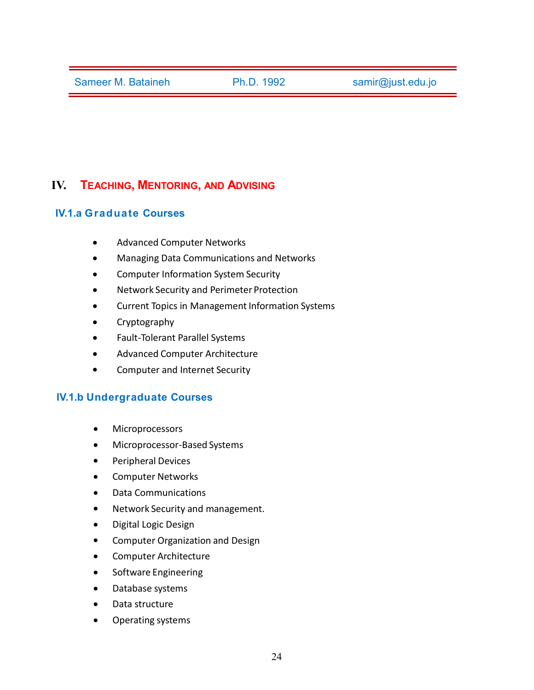# **IV. TEACHING, MENTORING, AND ADVISING**

## **IV.1.a Graduate Courses**

- Advanced Computer Networks
- Managing Data Communications and Networks
- Computer Information System Security
- Network Security and Perimeter Protection
- Current Topics in Management Information Systems
- Cryptography
- Fault-Tolerant Parallel Systems
- Advanced Computer Architecture
- Computer and Internet Security

## **IV.1.b Undergraduate Courses**

- **•** Microprocessors
- Microprocessor-Based Systems
- Peripheral Devices
- **•** Computer Networks
- Data Communications
- Network Security and management.
- Digital Logic Design
- **•** Computer Organization and Design
- Computer Architecture
- Software Engineering
- Database systems
- Data structure
- Operating systems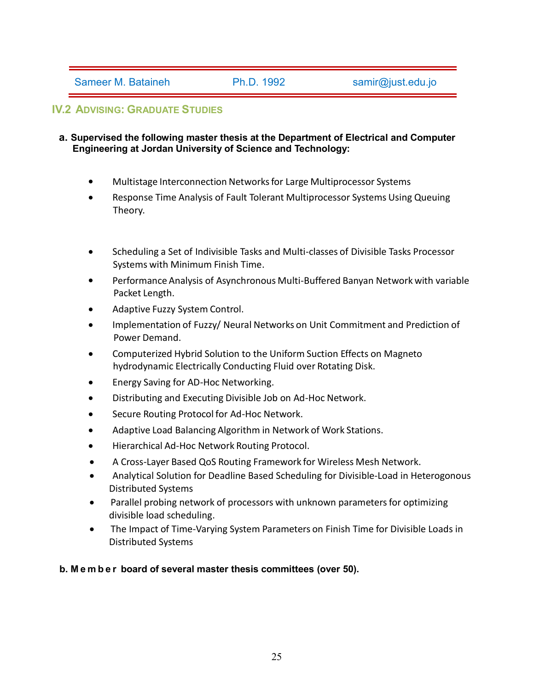# **IV.2 ADVISING: GRADUATE STUDIES**

#### **a. Supervised the following master thesis at the Department of Electrical and Computer Engineering at Jordan University of Science and Technology:**

- Multistage Interconnection Networksfor Large Multiprocessor Systems
- Response Time Analysis of Fault Tolerant Multiprocessor Systems Using Queuing Theory.
- Scheduling a Set of Indivisible Tasks and Multi-classes of Divisible Tasks Processor Systems with Minimum Finish Time.
- Performance Analysis of Asynchronous Multi-Buffered Banyan Network with variable Packet Length.
- Adaptive Fuzzy System Control.
- Implementation of Fuzzy/ Neural Networks on Unit Commitment and Prediction of Power Demand.
- Computerized Hybrid Solution to the Uniform Suction Effects on Magneto hydrodynamic Electrically Conducting Fluid over Rotating Disk.
- Energy Saving for AD-Hoc Networking.
- Distributing and Executing Divisible Job on Ad-Hoc Network.
- Secure Routing Protocol for Ad-Hoc Network.
- Adaptive Load Balancing Algorithm in Network of Work Stations.
- Hierarchical Ad-Hoc Network Routing Protocol.
- A Cross-Layer Based QoS Routing Framework for Wireless Mesh Network.
- Analytical Solution for Deadline Based Scheduling for Divisible-Load in Heterogonous Distributed Systems
- Parallel probing network of processors with unknown parameters for optimizing divisible load scheduling.
- The Impact of Time-Varying System Parameters on Finish Time for Divisible Loads in Distributed Systems

#### **b. M e m b e rboardof several master thesis committees (over 50).**